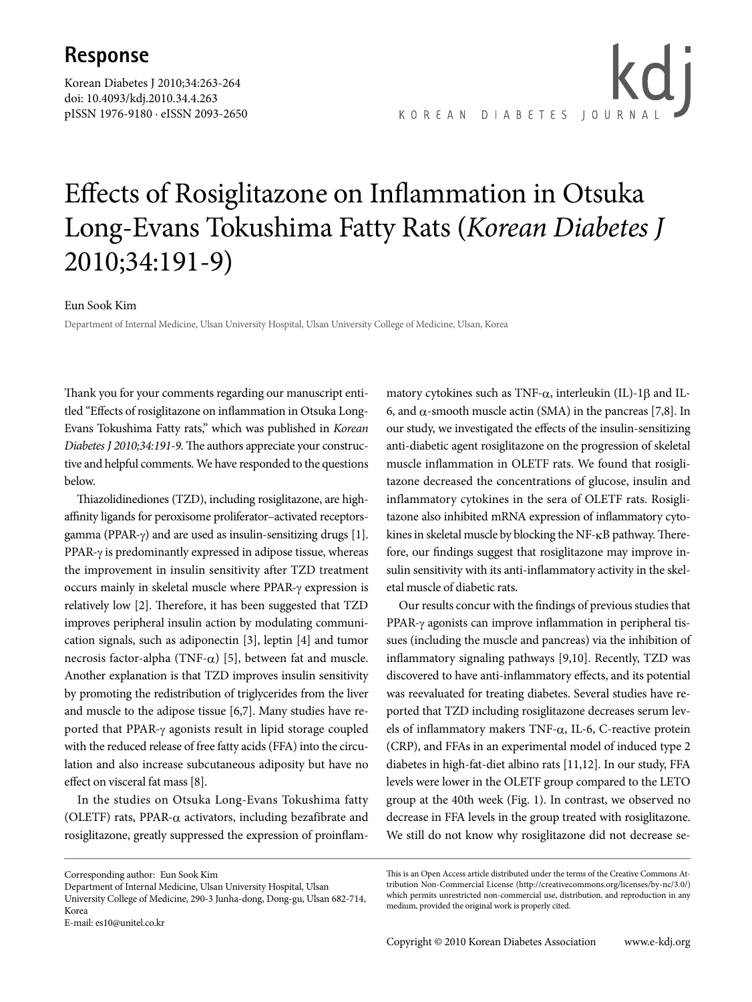## **Response**

Korean Diabetes J 2010;34:263-264 doi: 10.4093/kdj.2010.34.4.263 pISSN 1976-9180 · eISSN 2093-2650

kd i KOREAN DIABETES JOURNA

## Effects of Rosiglitazone on Inflammation in Otsuka Long-Evans Tokushima Fatty Rats (*Korean Diabetes J*  2010;34:191-9)

## Eun Sook Kim

Department of Internal Medicine, Ulsan University Hospital, Ulsan University College of Medicine, Ulsan, Korea

Thank you for your comments regarding our manuscript entitled "Effects of rosiglitazone on inflammation in Otsuka Long-Evans Tokushima Fatty rats," which was published in *Korean Diabetes J 2010;34:191-9*. The authors appreciate your constructive and helpful comments. We have responded to the questions below.

Thiazolidinediones (TZD), including rosiglitazone, are highaffinity ligands for peroxisome proliferator–activated receptorsgamma (PPAR-γ) and are used as insulin-sensitizing drugs [1]. PPAR-γ is predominantly expressed in adipose tissue, whereas the improvement in insulin sensitivity after TZD treatment occurs mainly in skeletal muscle where PPAR-γ expression is relatively low [2]. Therefore, it has been suggested that TZD improves peripheral insulin action by modulating communication signals, such as adiponectin [3], leptin [4] and tumor necrosis factor-alpha (TNF- $α$ ) [5], between fat and muscle. Another explanation is that TZD improves insulin sensitivity by promoting the redistribution of triglycerides from the liver and muscle to the adipose tissue [6,7]. Many studies have reported that PPAR-γ agonists result in lipid storage coupled with the reduced release of free fatty acids (FFA) into the circulation and also increase subcutaneous adiposity but have no effect on visceral fat mass [8].

In the studies on Otsuka Long-Evans Tokushima fatty (OLETF) rats, PPAR- $\alpha$  activators, including bezafibrate and rosiglitazone, greatly suppressed the expression of proinflammatory cytokines such as TNF- $\alpha$ , interleukin (IL)-1 $\beta$  and IL-6, and  $\alpha$ -smooth muscle actin (SMA) in the pancreas [7,8]. In our study, we investigated the effects of the insulin-sensitizing anti-diabetic agent rosiglitazone on the progression of skeletal muscle inflammation in OLETF rats. We found that rosiglitazone decreased the concentrations of glucose, insulin and inflammatory cytokines in the sera of OLETF rats. Rosiglitazone also inhibited mRNA expression of inflammatory cytokines in skeletal muscle by blocking the NF-κB pathway. Therefore, our findings suggest that rosiglitazone may improve insulin sensitivity with its anti-inflammatory activity in the skeletal muscle of diabetic rats.

Our results concur with the findings of previous studies that PPAR-γ agonists can improve inflammation in peripheral tissues (including the muscle and pancreas) via the inhibition of inflammatory signaling pathways [9,10]. Recently, TZD was discovered to have anti-inflammatory effects, and its potential was reevaluated for treating diabetes. Several studies have reported that TZD including rosiglitazone decreases serum levels of inflammatory makers TNF-α, IL-6, C-reactive protein (CRP), and FFAs in an experimental model of induced type 2 diabetes in high-fat-diet albino rats [11,12]. In our study, FFA levels were lower in the OLETF group compared to the LETO group at the 40th week (Fig. 1). In contrast, we observed no decrease in FFA levels in the group treated with rosiglitazone. We still do not know why rosiglitazone did not decrease se-

Corresponding author: Eun Sook Kim

Department of Internal Medicine, Ulsan University Hospital, Ulsan

University College of Medicine, 290-3 Junha-dong, Dong-gu, Ulsan 682-714, Korea

E-mail: es10@unitel.co.kr

This is an Open Access article distributed under the terms of the Creative Commons Attribution Non-Commercial License (http://creativecommons.org/licenses/by-nc/3.0/) which permits unrestricted non-commercial use, distribution, and reproduction in any medium, provided the original work is properly cited.